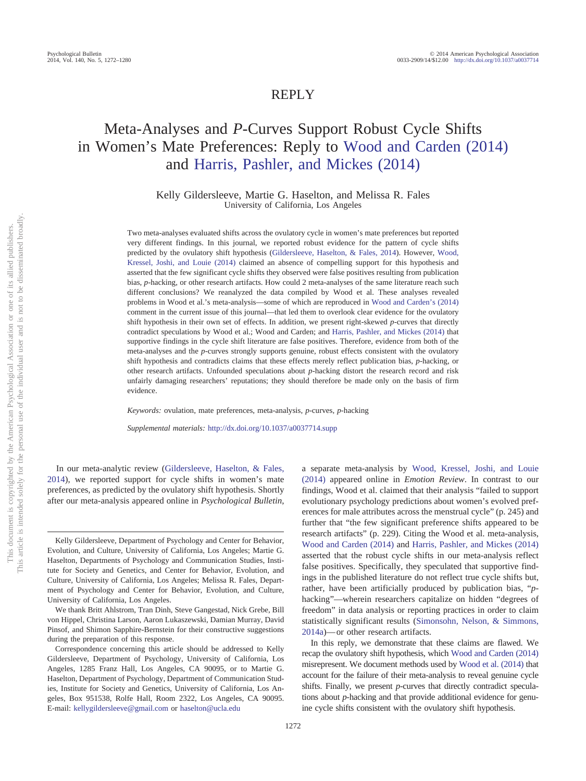# REPLY

# Meta-Analyses and *P*-Curves Support Robust Cycle Shifts in Women's Mate Preferences: Reply to [Wood and Carden \(2014\)](#page-8-0) and [Harris, Pashler, and Mickes \(2014\)](#page-6-0)

Kelly Gildersleeve, Martie G. Haselton, and Melissa R. Fales University of California, Los Angeles

Two meta-analyses evaluated shifts across the ovulatory cycle in women's mate preferences but reported very different findings. In this journal, we reported robust evidence for the pattern of cycle shifts predicted by the ovulatory shift hypothesis [\(Gildersleeve, Haselton, & Fales, 2014\)](#page-6-1). However, [Wood,](#page-8-1) [Kressel, Joshi, and Louie \(2014\)](#page-8-1) claimed an absence of compelling support for this hypothesis and asserted that the few significant cycle shifts they observed were false positives resulting from publication bias, *p*-hacking, or other research artifacts. How could 2 meta-analyses of the same literature reach such different conclusions? We reanalyzed the data compiled by Wood et al. These analyses revealed problems in Wood et al.'s meta-analysis—some of which are reproduced in [Wood and Carden's \(2014\)](#page-8-0) comment in the current issue of this journal—that led them to overlook clear evidence for the ovulatory shift hypothesis in their own set of effects. In addition, we present right-skewed *p*-curves that directly contradict speculations by Wood et al.; Wood and Carden; and [Harris, Pashler, and Mickes \(2014\)](#page-6-0) that supportive findings in the cycle shift literature are false positives. Therefore, evidence from both of the meta-analyses and the *p*-curves strongly supports genuine, robust effects consistent with the ovulatory shift hypothesis and contradicts claims that these effects merely reflect publication bias, *p*-hacking, or other research artifacts. Unfounded speculations about *p*-hacking distort the research record and risk unfairly damaging researchers' reputations; they should therefore be made only on the basis of firm evidence.

*Keywords:* ovulation, mate preferences, meta-analysis, *p*-curves, *p*-hacking

*Supplemental materials:* http://dx.doi.org[/10.1037/a0037714.supp](http://dx.doi.org/10.1037/a0037714.supp)

In our meta-analytic review [\(Gildersleeve, Haselton, & Fales,](#page-6-1) [2014\)](#page-6-1), we reported support for cycle shifts in women's mate preferences, as predicted by the ovulatory shift hypothesis. Shortly after our meta-analysis appeared online in *Psychological Bulletin*,

Kelly Gildersleeve, Department of Psychology and Center for Behavior, Evolution, and Culture, University of California, Los Angeles; Martie G. Haselton, Departments of Psychology and Communication Studies, Institute for Society and Genetics, and Center for Behavior, Evolution, and Culture, University of California, Los Angeles; Melissa R. Fales, Department of Psychology and Center for Behavior, Evolution, and Culture, University of California, Los Angeles.

We thank Britt Ahlstrom, Tran Dinh, Steve Gangestad, Nick Grebe, Bill von Hippel, Christina Larson, Aaron Lukaszewski, Damian Murray, David Pinsof, and Shimon Sapphire-Bernstein for their constructive suggestions during the preparation of this response.

Correspondence concerning this article should be addressed to Kelly Gildersleeve, Department of Psychology, University of California, Los Angeles, 1285 Franz Hall, Los Angeles, CA 90095, or to Martie G. Haselton, Department of Psychology, Department of Communication Studies, Institute for Society and Genetics, University of California, Los Angeles, Box 951538, Rolfe Hall, Room 2322, Los Angeles, CA 90095. E-mail: [kellygildersleeve@gmail.com](mailto:kellygildersleeve@gmail.com) or [haselton@ucla.edu](mailto:haselton@ucla.edu)

a separate meta-analysis by [Wood, Kressel, Joshi, and Louie](#page-8-1) [\(2014\)](#page-8-1) appeared online in *Emotion Review*. In contrast to our findings, Wood et al. claimed that their analysis "failed to support evolutionary psychology predictions about women's evolved preferences for male attributes across the menstrual cycle" (p. 245) and further that "the few significant preference shifts appeared to be research artifacts" (p. 229). Citing the Wood et al. meta-analysis, [Wood and Carden \(2014\)](#page-8-0) and [Harris, Pashler, and Mickes \(2014\)](#page-6-0) asserted that the robust cycle shifts in our meta-analysis reflect false positives. Specifically, they speculated that supportive findings in the published literature do not reflect true cycle shifts but, rather, have been artificially produced by publication bias, "*p*hacking"—wherein researchers capitalize on hidden "degrees of freedom" in data analysis or reporting practices in order to claim statistically significant results [\(Simonsohn, Nelson, & Simmons,](#page-7-0) [2014a\)](#page-7-0)— or other research artifacts.

In this reply, we demonstrate that these claims are flawed. We recap the ovulatory shift hypothesis, which [Wood and Carden \(2014\)](#page-8-0) misrepresent. We document methods used by [Wood et al. \(2014\)](#page-8-1) that account for the failure of their meta-analysis to reveal genuine cycle shifts. Finally, we present *p*-curves that directly contradict speculations about *p*-hacking and that provide additional evidence for genuine cycle shifts consistent with the ovulatory shift hypothesis.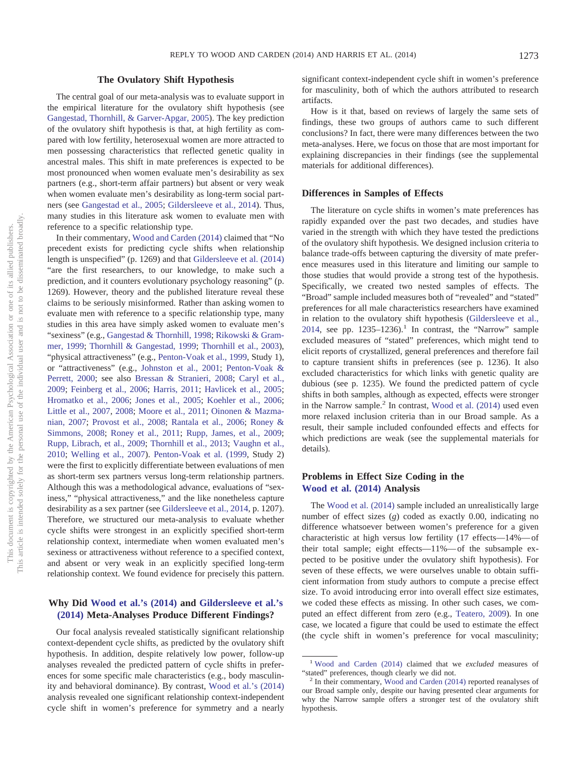### **The Ovulatory Shift Hypothesis**

The central goal of our meta-analysis was to evaluate support in the empirical literature for the ovulatory shift hypothesis (see [Gangestad, Thornhill, & Garver-Apgar, 2005\)](#page-6-2). The key prediction of the ovulatory shift hypothesis is that, at high fertility as compared with low fertility, heterosexual women are more attracted to men possessing characteristics that reflected genetic quality in ancestral males. This shift in mate preferences is expected to be most pronounced when women evaluate men's desirability as sex partners (e.g., short-term affair partners) but absent or very weak when women evaluate men's desirability as long-term social partners (see [Gangestad et al., 2005;](#page-6-2) [Gildersleeve et al., 2014\)](#page-6-1). Thus, many studies in this literature ask women to evaluate men with reference to a specific relationship type.

In their commentary, [Wood and Carden \(2014\)](#page-8-0) claimed that "No precedent exists for predicting cycle shifts when relationship length is unspecified" (p. 1269) and that [Gildersleeve et al. \(2014\)](#page-6-1) "are the first researchers, to our knowledge, to make such a prediction, and it counters evolutionary psychology reasoning" (p. 1269). However, theory and the published literature reveal these claims to be seriously misinformed. Rather than asking women to evaluate men with reference to a specific relationship type, many studies in this area have simply asked women to evaluate men's "sexiness" (e.g., [Gangestad & Thornhill, 1998;](#page-6-3) [Rikowski & Gram](#page-7-1)[mer, 1999;](#page-7-1) [Thornhill & Gangestad, 1999;](#page-8-2) [Thornhill et al., 2003\)](#page-8-3), "physical attractiveness" (e.g., [Penton-Voak et al., 1999,](#page-7-2) Study 1), or "attractiveness" (e.g., [Johnston et al., 2001;](#page-7-3) [Penton-Voak &](#page-7-4) [Perrett, 2000;](#page-7-4) see also [Bressan & Stranieri, 2008;](#page-6-4) [Caryl et al.,](#page-6-5) [2009;](#page-6-5) [Feinberg et al., 2006;](#page-6-6) [Harris, 2011;](#page-6-7) [Havlicek et al., 2005;](#page-6-8) [Hromatko et al., 2006;](#page-6-9) [Jones et al., 2005;](#page-7-5) [Koehler et al., 2006;](#page-7-6) [Little et al., 2007,](#page-7-7) [2008;](#page-7-8) [Moore et al., 2011;](#page-7-9) [Oinonen & Mazma](#page-7-10)[nian, 2007;](#page-7-10) [Provost et al., 2008;](#page-7-11) [Rantala et al., 2006;](#page-7-12) [Roney &](#page-7-13) [Simmons, 2008;](#page-7-13) [Roney et al., 2011;](#page-7-14) [Rupp, James, et al., 2009;](#page-7-15) [Rupp, Librach, et al., 2009;](#page-7-16) [Thornhill et al., 2013;](#page-8-4) [Vaughn et al.,](#page-8-5) [2010;](#page-8-5) [Welling et al., 2007\)](#page-8-6). [Penton-Voak et al. \(1999,](#page-7-2) Study 2) were the first to explicitly differentiate between evaluations of men as short-term sex partners versus long-term relationship partners. Although this was a methodological advance, evaluations of "sexiness," "physical attractiveness," and the like nonetheless capture desirability as a sex partner (see [Gildersleeve et al., 2014,](#page-6-1) p. 1207). Therefore, we structured our meta-analysis to evaluate whether cycle shifts were strongest in an explicitly specified short-term relationship context, intermediate when women evaluated men's sexiness or attractiveness without reference to a specified context, and absent or very weak in an explicitly specified long-term relationship context. We found evidence for precisely this pattern.

## **Why Did [Wood et al.'s \(2014\)](#page-8-1) and [Gildersleeve et al.'s](#page-6-1) [\(2014\)](#page-6-1) Meta-Analyses Produce Different Findings?**

Our focal analysis revealed statistically significant relationship context-dependent cycle shifts, as predicted by the ovulatory shift hypothesis. In addition, despite relatively low power, follow-up analyses revealed the predicted pattern of cycle shifts in preferences for some specific male characteristics (e.g., body masculinity and behavioral dominance). By contrast, [Wood et al.'s \(2014\)](#page-8-1) analysis revealed one significant relationship context-independent cycle shift in women's preference for symmetry and a nearly

significant context-independent cycle shift in women's preference for masculinity, both of which the authors attributed to research artifacts.

How is it that, based on reviews of largely the same sets of findings, these two groups of authors came to such different conclusions? In fact, there were many differences between the two meta-analyses. Here, we focus on those that are most important for explaining discrepancies in their findings (see the supplemental materials for additional differences).

#### **Differences in Samples of Effects**

The literature on cycle shifts in women's mate preferences has rapidly expanded over the past two decades, and studies have varied in the strength with which they have tested the predictions of the ovulatory shift hypothesis. We designed inclusion criteria to balance trade-offs between capturing the diversity of mate preference measures used in this literature and limiting our sample to those studies that would provide a strong test of the hypothesis. Specifically, we created two nested samples of effects. The "Broad" sample included measures both of "revealed" and "stated" preferences for all male characteristics researchers have examined in relation to the ovulatory shift hypothesis [\(Gildersleeve et al.,](#page-6-1) [2014,](#page-6-1) see pp.  $1235-1236$ .<sup>1</sup> In contrast, the "Narrow" sample excluded measures of "stated" preferences, which might tend to elicit reports of crystallized, general preferences and therefore fail to capture transient shifts in preferences (see p. 1236). It also excluded characteristics for which links with genetic quality are dubious (see p. 1235). We found the predicted pattern of cycle shifts in both samples, although as expected, effects were stronger in the Narrow sample.<sup>2</sup> In contrast, [Wood et al. \(2014\)](#page-8-1) used even more relaxed inclusion criteria than in our Broad sample. As a result, their sample included confounded effects and effects for which predictions are weak (see the supplemental materials for details).

# **Problems in Effect Size Coding in the [Wood et al. \(2014\)](#page-8-1) Analysis**

The [Wood et al. \(2014\)](#page-8-1) sample included an unrealistically large number of effect sizes (*g*) coded as exactly 0.00, indicating no difference whatsoever between women's preference for a given characteristic at high versus low fertility (17 effects—14%— of their total sample; eight effects—11%— of the subsample expected to be positive under the ovulatory shift hypothesis). For seven of these effects, we were ourselves unable to obtain sufficient information from study authors to compute a precise effect size. To avoid introducing error into overall effect size estimates, we coded these effects as missing. In other such cases, we computed an effect different from zero (e.g., [Teatero, 2009\)](#page-8-7). In one case, we located a figure that could be used to estimate the effect (the cycle shift in women's preference for vocal masculinity;

<sup>1</sup> [Wood and Carden \(2014\)](#page-8-0) claimed that we *excluded* measures of "stated" preferences, though clearly we did not. <sup>2</sup> In their commentary, [Wood and Carden \(2014\)](#page-8-0) reported reanalyses of

our Broad sample only, despite our having presented clear arguments for why the Narrow sample offers a stronger test of the ovulatory shift hypothesis.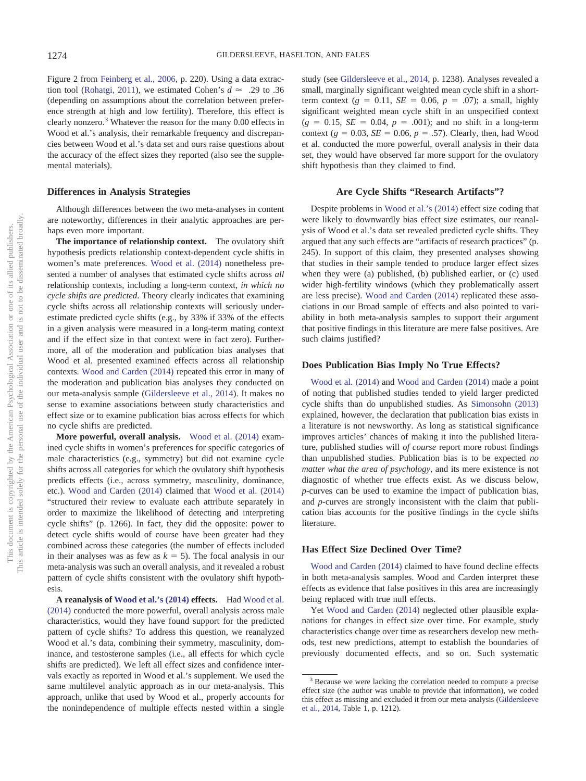Figure 2 from [Feinberg et al., 2006,](#page-6-6) p. 220). Using a data extrac-tion tool [\(Rohatgi, 2011\)](#page-7-17), we estimated Cohen's  $d \approx .29$  to .36 (depending on assumptions about the correlation between preference strength at high and low fertility). Therefore, this effect is clearly nonzero.3 Whatever the reason for the many 0.00 effects in Wood et al.'s analysis, their remarkable frequency and discrepancies between Wood et al.'s data set and ours raise questions about the accuracy of the effect sizes they reported (also see the supplemental materials).

#### **Differences in Analysis Strategies**

Although differences between the two meta-analyses in content are noteworthy, differences in their analytic approaches are perhaps even more important.

**The importance of relationship context.** The ovulatory shift hypothesis predicts relationship context-dependent cycle shifts in women's mate preferences. [Wood et al. \(2014\)](#page-8-1) nonetheless presented a number of analyses that estimated cycle shifts across *all* relationship contexts, including a long-term context, *in which no cycle shifts are predicted*. Theory clearly indicates that examining cycle shifts across all relationship contexts will seriously underestimate predicted cycle shifts (e.g., by 33% if 33% of the effects in a given analysis were measured in a long-term mating context and if the effect size in that context were in fact zero). Furthermore, all of the moderation and publication bias analyses that Wood et al. presented examined effects across all relationship contexts. [Wood and Carden \(2014\)](#page-8-0) repeated this error in many of the moderation and publication bias analyses they conducted on our meta-analysis sample [\(Gildersleeve et al., 2014\)](#page-6-1). It makes no sense to examine associations between study characteristics and effect size or to examine publication bias across effects for which no cycle shifts are predicted.

**More powerful, overall analysis.** [Wood et al. \(2014\)](#page-8-1) examined cycle shifts in women's preferences for specific categories of male characteristics (e.g., symmetry) but did not examine cycle shifts across all categories for which the ovulatory shift hypothesis predicts effects (i.e., across symmetry, masculinity, dominance, etc.). [Wood and Carden \(2014\)](#page-8-0) claimed that [Wood et al. \(2014\)](#page-8-1) "structured their review to evaluate each attribute separately in order to maximize the likelihood of detecting and interpreting cycle shifts" (p. 1266). In fact, they did the opposite: power to detect cycle shifts would of course have been greater had they combined across these categories (the number of effects included in their analyses was as few as  $k = 5$ ). The focal analysis in our meta-analysis was such an overall analysis, and it revealed a robust pattern of cycle shifts consistent with the ovulatory shift hypothesis.

**A reanalysis of [Wood et al.'s \(2014\)](#page-8-1) effects.** Had [Wood et al.](#page-8-1) [\(2014\)](#page-8-1) conducted the more powerful, overall analysis across male characteristics, would they have found support for the predicted pattern of cycle shifts? To address this question, we reanalyzed Wood et al.'s data, combining their symmetry, masculinity, dominance, and testosterone samples (i.e., all effects for which cycle shifts are predicted). We left all effect sizes and confidence intervals exactly as reported in Wood et al.'s supplement. We used the same multilevel analytic approach as in our meta-analysis. This approach, unlike that used by Wood et al., properly accounts for the nonindependence of multiple effects nested within a single

study (see [Gildersleeve et al., 2014,](#page-6-1) p. 1238). Analyses revealed a small, marginally significant weighted mean cycle shift in a shortterm context ( $g = 0.11$ ,  $SE = 0.06$ ,  $p = .07$ ); a small, highly significant weighted mean cycle shift in an unspecified context  $(g = 0.15, SE = 0.04, p = .001)$ ; and no shift in a long-term context ( $g = 0.03$ ,  $SE = 0.06$ ,  $p = .57$ ). Clearly, then, had Wood et al. conducted the more powerful, overall analysis in their data set, they would have observed far more support for the ovulatory shift hypothesis than they claimed to find.

#### **Are Cycle Shifts "Research Artifacts"?**

Despite problems in [Wood et al.'s \(2014\)](#page-8-1) effect size coding that were likely to downwardly bias effect size estimates, our reanalysis of Wood et al.'s data set revealed predicted cycle shifts. They argued that any such effects are "artifacts of research practices" (p. 245). In support of this claim, they presented analyses showing that studies in their sample tended to produce larger effect sizes when they were (a) published, (b) published earlier, or (c) used wider high-fertility windows (which they problematically assert are less precise). [Wood and Carden \(2014\)](#page-8-0) replicated these associations in our Broad sample of effects and also pointed to variability in both meta-analysis samples to support their argument that positive findings in this literature are mere false positives. Are such claims justified?

#### **Does Publication Bias Imply No True Effects?**

[Wood et al. \(2014\)](#page-8-1) and [Wood and Carden \(2014\)](#page-8-0) made a point of noting that published studies tended to yield larger predicted cycle shifts than do unpublished studies. As [Simonsohn \(2013\)](#page-7-18) explained, however, the declaration that publication bias exists in a literature is not newsworthy. As long as statistical significance improves articles' chances of making it into the published literature, published studies will *of course* report more robust findings than unpublished studies. Publication bias is to be expected *no matter what the area of psychology*, and its mere existence is not diagnostic of whether true effects exist. As we discuss below, *p*-curves can be used to examine the impact of publication bias, and *p*-curves are strongly inconsistent with the claim that publication bias accounts for the positive findings in the cycle shifts literature.

#### **Has Effect Size Declined Over Time?**

[Wood and Carden \(2014\)](#page-8-0) claimed to have found decline effects in both meta-analysis samples. Wood and Carden interpret these effects as evidence that false positives in this area are increasingly being replaced with true null effects.

Yet [Wood and Carden \(2014\)](#page-8-0) neglected other plausible explanations for changes in effect size over time. For example, study characteristics change over time as researchers develop new methods, test new predictions, attempt to establish the boundaries of previously documented effects, and so on. Such systematic

<sup>&</sup>lt;sup>3</sup> Because we were lacking the correlation needed to compute a precise effect size (the author was unable to provide that information), we coded this effect as missing and excluded it from our meta-analysis [\(Gildersleeve](#page-6-1) [et al., 2014,](#page-6-1) Table 1, p. 1212).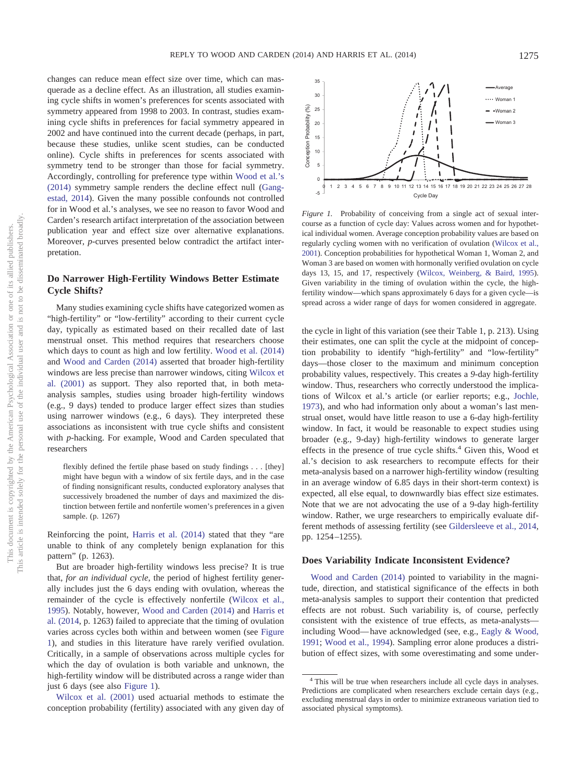changes can reduce mean effect size over time, which can masquerade as a decline effect. As an illustration, all studies examining cycle shifts in women's preferences for scents associated with symmetry appeared from 1998 to 2003. In contrast, studies examining cycle shifts in preferences for facial symmetry appeared in 2002 and have continued into the current decade (perhaps, in part, because these studies, unlike scent studies, can be conducted online). Cycle shifts in preferences for scents associated with symmetry tend to be stronger than those for facial symmetry. Accordingly, controlling for preference type within [Wood et al.'s](#page-8-1) [\(2014\)](#page-8-1) symmetry sample renders the decline effect null [\(Gang](#page-6-10)[estad, 2014\)](#page-6-10). Given the many possible confounds not controlled for in Wood et al.'s analyses, we see no reason to favor Wood and Carden's research artifact interpretation of the association between publication year and effect size over alternative explanations. Moreover, *p*-curves presented below contradict the artifact interpretation.

# **Do Narrower High-Fertility Windows Better Estimate Cycle Shifts?**

Many studies examining cycle shifts have categorized women as "high-fertility" or "low-fertility" according to their current cycle day, typically as estimated based on their recalled date of last menstrual onset. This method requires that researchers choose which days to count as high and low fertility. [Wood et al. \(2014\)](#page-8-1) and [Wood and Carden \(2014\)](#page-8-0) asserted that broader high-fertility windows are less precise than narrower windows, citing [Wilcox et](#page-8-8) [al. \(2001\)](#page-8-8) as support. They also reported that, in both metaanalysis samples, studies using broader high-fertility windows (e.g., 9 days) tended to produce larger effect sizes than studies using narrower windows (e.g., 6 days). They interpreted these associations as inconsistent with true cycle shifts and consistent with *p*-hacking. For example, Wood and Carden speculated that researchers

flexibly defined the fertile phase based on study findings... [they] might have begun with a window of six fertile days, and in the case of finding nonsignificant results, conducted exploratory analyses that successively broadened the number of days and maximized the distinction between fertile and nonfertile women's preferences in a given sample. (p. 1267)

Reinforcing the point, [Harris et al. \(2014\)](#page-6-0) stated that they "are unable to think of any completely benign explanation for this pattern" (p. 1263).

But are broader high-fertility windows less precise? It is true that, *for an individual cycle*, the period of highest fertility generally includes just the 6 days ending with ovulation, whereas the remainder of the cycle is effectively nonfertile [\(Wilcox et al.,](#page-8-9) [1995\)](#page-8-9). Notably, however, [Wood and Carden \(2014\)](#page-8-0) and [Harris et](#page-6-0) [al. \(2014,](#page-6-0) p. 1263) failed to appreciate that the timing of ovulation varies across cycles both within and between women (see [Figure](#page-3-0) [1\)](#page-3-0), and studies in this literature have rarely verified ovulation. Critically, in a sample of observations across multiple cycles for which the day of ovulation is both variable and unknown, the high-fertility window will be distributed across a range wider than just 6 days (see also [Figure 1\)](#page-3-0).

[Wilcox et al. \(2001\)](#page-8-8) used actuarial methods to estimate the conception probability (fertility) associated with any given day of



<span id="page-3-0"></span>*Figure 1.* Probability of conceiving from a single act of sexual intercourse as a function of cycle day: Values across women and for hypothetical individual women. Average conception probability values are based on regularly cycling women with no verification of ovulation [\(Wilcox et al.,](#page-8-8) [2001\)](#page-8-8). Conception probabilities for hypothetical Woman 1, Woman 2, and Woman 3 are based on women with hormonally verified ovulation on cycle days 13, 15, and 17, respectively [\(Wilcox, Weinberg, & Baird, 1995\)](#page-8-9). Given variability in the timing of ovulation within the cycle, the highfertility window—which spans approximately 6 days for a given cycle—is spread across a wider range of days for women considered in aggregate.

the cycle in light of this variation (see their Table 1, p. 213). Using their estimates, one can split the cycle at the midpoint of conception probability to identify "high-fertility" and "low-fertility" days—those closer to the maximum and minimum conception probability values, respectively. This creates a *9-*day high-fertility window. Thus, researchers who correctly understood the implications of Wilcox et al.'s article (or earlier reports; e.g., [Jochle,](#page-7-19) [1973\)](#page-7-19), and who had information only about a woman's last menstrual onset, would have little reason to use a 6-day high-fertility window. In fact, it would be reasonable to expect studies using broader (e.g., 9-day) high-fertility windows to generate larger effects in the presence of true cycle shifts. $4$  Given this, Wood et al.'s decision to ask researchers to recompute effects for their meta-analysis based on a narrower high-fertility window (resulting in an average window of 6.85 days in their short-term context) is expected, all else equal, to downwardly bias effect size estimates. Note that we are not advocating the use of a 9-day high-fertility window. Rather, we urge researchers to empirically evaluate different methods of assessing fertility (see [Gildersleeve et al., 2014,](#page-6-1) pp. 1254 –1255).

#### **Does Variability Indicate Inconsistent Evidence?**

[Wood and Carden \(2014\)](#page-8-0) pointed to variability in the magnitude, direction, and statistical significance of the effects in both meta-analysis samples to support their contention that predicted effects are not robust. Such variability is, of course, perfectly consistent with the existence of true effects, as meta-analysts including Wood— have acknowledged (see, e.g., [Eagly & Wood,](#page-6-11) [1991;](#page-6-11) [Wood et al., 1994\)](#page-8-10). Sampling error alone produces a distribution of effect sizes, with some overestimating and some under-

<sup>4</sup> This will be true when researchers include all cycle days in analyses. Predictions are complicated when researchers exclude certain days (e.g., excluding menstrual days in order to minimize extraneous variation tied to associated physical symptoms).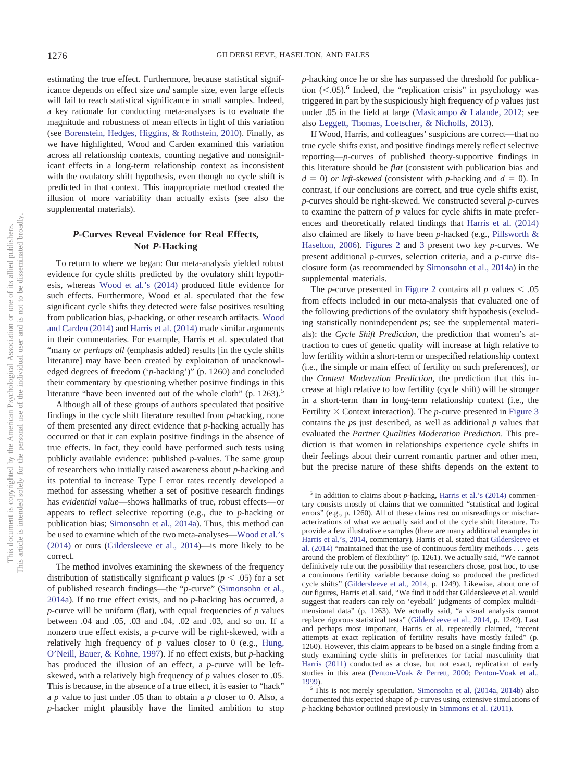estimating the true effect. Furthermore, because statistical significance depends on effect size *and* sample size, even large effects will fail to reach statistical significance in small samples. Indeed, a key rationale for conducting meta-analyses is to evaluate the magnitude and robustness of mean effects in light of this variation (see [Borenstein, Hedges, Higgins, & Rothstein, 2010\)](#page-6-12). Finally, as we have highlighted, Wood and Carden examined this variation across all relationship contexts, counting negative and nonsignificant effects in a long-term relationship context as inconsistent with the ovulatory shift hypothesis, even though no cycle shift is predicted in that context. This inappropriate method created the illusion of more variability than actually exists (see also the supplemental materials).

# *P***-Curves Reveal Evidence for Real Effects, Not** *P***-Hacking**

To return to where we began: Our meta-analysis yielded robust evidence for cycle shifts predicted by the ovulatory shift hypothesis, whereas [Wood et al.'s \(2014\)](#page-8-1) produced little evidence for such effects. Furthermore, Wood et al. speculated that the few significant cycle shifts they detected were false positives resulting from publication bias, *p*-hacking, or other research artifacts. [Wood](#page-8-0) [and Carden \(2014\)](#page-8-0) and [Harris et al. \(2014\)](#page-6-0) made similar arguments in their commentaries. For example, Harris et al. speculated that "many *or perhaps all* (emphasis added) results [in the cycle shifts literature] may have been created by exploitation of unacknowledged degrees of freedom ('*p*-hacking')" (p. 1260) and concluded their commentary by questioning whether positive findings in this literature "have been invented out of the whole cloth" (p. 1263).<sup>5</sup>

Although all of these groups of authors speculated that positive findings in the cycle shift literature resulted from *p*-hacking, none of them presented any direct evidence that *p*-hacking actually has occurred or that it can explain positive findings in the absence of true effects. In fact, they could have performed such tests using publicly available evidence: published *p*-values. The same group of researchers who initially raised awareness about *p*-hacking and its potential to increase Type I error rates recently developed a method for assessing whether a set of positive research findings has *evidential value*—shows hallmarks of true, robust effects— or appears to reflect selective reporting (e.g., due to *p*-hacking or publication bias; [Simonsohn et al., 2014a\)](#page-7-0). Thus, this method can be used to examine which of the two meta-analyses[—Wood et al.'s](#page-8-1) [\(2014\)](#page-8-1) or ours [\(Gildersleeve et al., 2014\)](#page-6-1)—is more likely to be correct.

The method involves examining the skewness of the frequency distribution of statistically significant *p* values ( $p < .05$ ) for a set of published research findings—the "*p*-curve" [\(Simonsohn et al.,](#page-7-0) [2014a\)](#page-7-0). If no true effect exists, and no *p*-hacking has occurred, a *p*-curve will be uniform (flat), with equal frequencies of *p* values between .04 and .05, .03 and .04, .02 and .03, and so on. If a nonzero true effect exists, a *p*-curve will be right-skewed, with a relatively high frequency of *p* values closer to 0 (e.g., [Hung,](#page-7-20) [O'Neill, Bauer, & Kohne, 1997\)](#page-7-20). If no effect exists, but *p*-hacking has produced the illusion of an effect, a *p*-curve will be leftskewed, with a relatively high frequency of *p* values closer to .05. This is because, in the absence of a true effect, it is easier to "hack" a *p* value to just under .05 than to obtain a *p* closer to 0. Also, a *p*-hacker might plausibly have the limited ambition to stop *p*-hacking once he or she has surpassed the threshold for publication  $(<.05)$ .<sup>6</sup> Indeed, the "replication crisis" in psychology was triggered in part by the suspiciously high frequency of *p* values just under .05 in the field at large [\(Masicampo & Lalande, 2012;](#page-7-21) see also [Leggett, Thomas, Loetscher, & Nicholls, 2013\)](#page-7-22).

If Wood, Harris, and colleagues' suspicions are correct—that no true cycle shifts exist, and positive findings merely reflect selective reporting—*p-*curves of published theory-supportive findings in this literature should be *flat* (consistent with publication bias and  $d = 0$ ) *or left-skewed* (consistent with *p*-hacking and  $d = 0$ ). In contrast, if our conclusions are correct, and true cycle shifts exist, *p*-curves should be right-skewed. We constructed several *p*-curves to examine the pattern of *p* values for cycle shifts in mate preferences and theoretically related findings that [Harris et al. \(2014\)](#page-6-0) also claimed are likely to have been *p*-hacked (e.g., [Pillsworth &](#page-7-23) [Haselton, 2006\)](#page-7-23). [Figures 2](#page-5-0) and [3](#page-5-1) present two key *p*-curves. We present additional *p*-curves, selection criteria, and a *p*-curve disclosure form (as recommended by [Simonsohn et al., 2014a\)](#page-7-0) in the supplemental materials.

The *p*-curve presented in [Figure 2](#page-5-0) contains all  $p$  values  $\lt$  .05 from effects included in our meta-analysis that evaluated one of the following predictions of the ovulatory shift hypothesis (excluding statistically nonindependent *p*s; see the supplemental materials): the *Cycle Shift Prediction*, the prediction that women's attraction to cues of genetic quality will increase at high relative to low fertility within a short-term or unspecified relationship context (i.e., the simple or main effect of fertility on such preferences), or the *Context Moderation Prediction*, the prediction that this increase at high relative to low fertility (cycle shift) will be stronger in a short-term than in long-term relationship context (i.e., the Fertility  $\times$  Context interaction). The *p*-curve presented in [Figure 3](#page-5-1) contains the *p*s just described, as well as additional *p* values that evaluated the *Partner Qualities Moderation Prediction*. This prediction is that women in relationships experience cycle shifts in their feelings about their current romantic partner and other men, but the precise nature of these shifts depends on the extent to

<sup>&</sup>lt;sup>5</sup> In addition to claims about *p*-hacking, [Harris et al.'s \(2014\)](#page-6-0) commentary consists mostly of claims that we committed "statistical and logical errors" (e.g., p. 1260). All of these claims rest on misreadings or mischaracterizations of what we actually said and of the cycle shift literature. To provide a few illustrative examples (there are many additional examples in [Harris et al.'s, 2014,](#page-6-0) commentary), Harris et al. stated that [Gildersleeve et](#page-6-1) [al. \(2014\)](#page-6-1) "maintained that the use of continuous fertility methods... gets around the problem of flexibility" (p. 1261). We actually said, "We cannot definitively rule out the possibility that researchers chose, post hoc, to use a continuous fertility variable because doing so produced the predicted cycle shifts" [\(Gildersleeve et al., 2014,](#page-6-1) p. 1249). Likewise, about one of our figures, Harris et al. said, "We find it odd that Gildersleeve et al. would suggest that readers can rely on 'eyeball' judgments of complex multidimensional data" (p. 1263). We actually said, "a visual analysis cannot replace rigorous statistical tests" [\(Gildersleeve et al., 2014,](#page-6-1) p. 1249). Last and perhaps most important, Harris et al. repeatedly claimed, "recent attempts at exact replication of fertility results have mostly failed" (p. 1260). However, this claim appears to be based on a single finding from a study examining cycle shifts in preferences for facial masculinity that [Harris \(2011\)](#page-6-7) conducted as a close, but not exact, replication of early studies in this area [\(Penton-Voak & Perrett, 2000;](#page-7-4) [Penton-Voak et al.,](#page-7-2)

 $6$ This is not merely speculation. [Simonsohn et al. \(2014a,](#page-7-0) [2014b\)](#page-7-24) also documented this expected shape of *p*-curves using extensive simulations of *p*-hacking behavior outlined previously in [Simmons et al. \(2011\).](#page-7-25)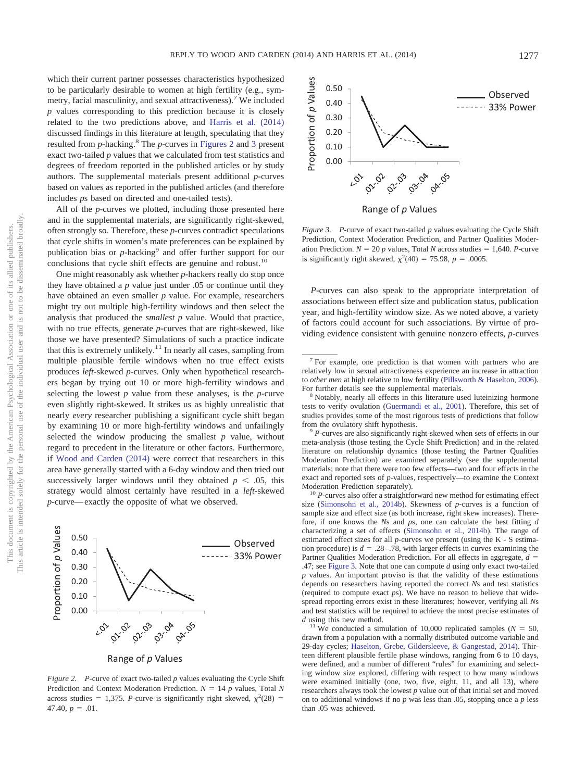which their current partner possesses characteristics hypothesized to be particularly desirable to women at high fertility (e.g., symmetry, facial masculinity, and sexual attractiveness).<sup>7</sup> We included *p* values corresponding to this prediction because it is closely related to the two predictions above, and [Harris et al. \(2014\)](#page-6-0) discussed findings in this literature at length, speculating that they resulted from *p*-hacking.8 The *p*-curves in [Figures 2](#page-5-0) and [3](#page-5-1) present exact two-tailed *p* values that we calculated from test statistics and degrees of freedom reported in the published articles or by study authors. The supplemental materials present additional *p*-curves based on values as reported in the published articles (and therefore includes *p*s based on directed and one-tailed tests).

All of the *p*-curves we plotted, including those presented here and in the supplemental materials, are significantly right-skewed, often strongly so. Therefore, these *p*-curves contradict speculations that cycle shifts in women's mate preferences can be explained by publication bias or *p*-hacking<sup>9</sup> and offer further support for our conclusions that cycle shift effects are genuine and robust.<sup>10</sup>

One might reasonably ask whether *p*-hackers really do stop once they have obtained a *p* value just under .05 or continue until they have obtained an even smaller *p* value. For example, researchers might try out multiple high-fertility windows and then select the analysis that produced the *smallest p* value. Would that practice, with no true effects, generate *p*-curves that are right-skewed, like those we have presented? Simulations of such a practice indicate that this is extremely unlikely.<sup>11</sup> In nearly all cases, sampling from multiple plausible fertile windows when no true effect exists produces *left*-skewed *p*-curves. Only when hypothetical researchers began by trying out 10 or more high-fertility windows and selecting the lowest *p* value from these analyses, is the *p*-curve even slightly right-skewed. It strikes us as highly unrealistic that nearly *every* researcher publishing a significant cycle shift began by examining 10 or more high-fertility windows and unfailingly selected the window producing the smallest *p* value, without regard to precedent in the literature or other factors. Furthermore, if [Wood and Carden \(2014\)](#page-8-0) were correct that researchers in this area have generally started with a 6-day window and then tried out successively larger windows until they obtained  $p < .05$ , this strategy would almost certainly have resulted in a *left*-skewed *p*-curve— exactly the opposite of what we observed.



<span id="page-5-0"></span>*Figure 2. P*-curve of exact two-tailed *p* values evaluating the Cycle Shift Prediction and Context Moderation Prediction.  $N = 14$   $p$  values, Total N across studies = 1,375. *P*-curve is significantly right skewed,  $\chi^2(28)$  =  $47.40, p = .01.$ 



<span id="page-5-1"></span>*Figure 3.* P-curve of exact two-tailed *p* values evaluating the Cycle Shift Prediction, Context Moderation Prediction, and Partner Qualities Moderation Prediction.  $N = 20 p$  values, Total *N* across studies = 1,640. *P*-curve is significantly right skewed,  $\chi^2(40) = 75.98$ ,  $p = .0005$ .

*P*-curves can also speak to the appropriate interpretation of associations between effect size and publication status, publication year, and high-fertility window size. As we noted above, a variety of factors could account for such associations. By virtue of providing evidence consistent with genuine nonzero effects, *p*-curves

<sup>10</sup> *P*-curves also offer a straightforward new method for estimating effect size [\(Simonsohn et al., 2014b\)](#page-7-24). Skewness of *p*-curves is a function of sample size and effect size (as both increase, right skew increases). Therefore, if one knows the *N*s and *p*s, one can calculate the best fitting *d* characterizing a set of effects [\(Simonsohn et al., 2014b\)](#page-7-24). The range of estimated effect sizes for all *p*-curves we present (using the K - S estimation procedure) is  $d = 0.28 - 0.78$ , with larger effects in curves examining the Partner Qualities Moderation Prediction. For all effects in aggregate,  $d =$ .47; see [Figure 3.](#page-5-1) Note that one can compute *d* using only exact two-tailed *p* values. An important proviso is that the validity of these estimations depends on researchers having reported the correct *N*s and test statistics (required to compute exact *p*s). We have no reason to believe that widespread reporting errors exist in these literatures; however, verifying all *N*s and test statistics will be required to achieve the most precise estimates of *d* using this new method.

<sup>11</sup> We conducted a simulation of 10,000 replicated samples ( $N = 50$ , drawn from a population with a normally distributed outcome variable and 29-day cycles; [Haselton, Grebe, Gildersleeve, & Gangestad, 2014\)](#page-6-14). Thirteen different plausible fertile phase windows, ranging from 6 to 10 days, were defined, and a number of different "rules" for examining and selecting window size explored, differing with respect to how many windows were examined initially (one, two, five, eight, 11, and all 13), where researchers always took the lowest *p* value out of that initial set and moved on to additional windows if no *p* was less than .05, stopping once a *p* less than .05 was achieved.

 $7$  For example, one prediction is that women with partners who are relatively low in sexual attractiveness experience an increase in attraction to *other men* at high relative to low fertility [\(Pillsworth & Haselton, 2006\)](#page-7-23). For further details see the supplemental materials.<br><sup>8</sup> Notably, nearly all effects in this literature used luteinizing hormone

tests to verify ovulation [\(Guermandi et al., 2001\)](#page-6-13). Therefore, this set of studies provides some of the most rigorous tests of predictions that follow from the ovulatory shift hypothesis. <sup>9</sup> *<sup>P</sup>*-curves are also significantly right-skewed when sets of effects in our

meta-analysis (those testing the Cycle Shift Prediction) and in the related literature on relationship dynamics (those testing the Partner Qualities Moderation Prediction) are examined separately (see the supplemental materials; note that there were too few effects—two and four effects in the exact and reported sets of *p*-values, respectively—to examine the Context Moderation Prediction separately).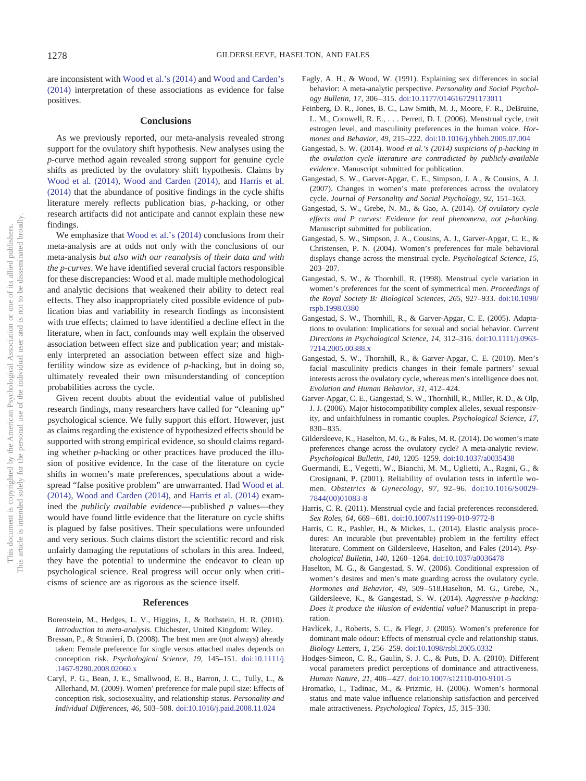are inconsistent with [Wood et al.'s \(2014\)](#page-8-1) and [Wood and Carden's](#page-8-0) [\(2014\)](#page-8-0) interpretation of these associations as evidence for false positives.

#### **Conclusions**

As we previously reported, our meta-analysis revealed strong support for the ovulatory shift hypothesis. New analyses using the *p*-curve method again revealed strong support for genuine cycle shifts as predicted by the ovulatory shift hypothesis. Claims by [Wood et al. \(2014\),](#page-8-1) [Wood and Carden \(2014\),](#page-8-0) and [Harris et al.](#page-6-0) [\(2014\)](#page-6-0) that the abundance of positive findings in the cycle shifts literature merely reflects publication bias, *p*-hacking, or other research artifacts did not anticipate and cannot explain these new findings.

We emphasize that [Wood et al.'s \(2014\)](#page-8-1) conclusions from their meta-analysis are at odds not only with the conclusions of our meta-analysis *but also with our reanalysis of their data and with the p-curves*. We have identified several crucial factors responsible for these discrepancies: Wood et al. made multiple methodological and analytic decisions that weakened their ability to detect real effects. They also inappropriately cited possible evidence of publication bias and variability in research findings as inconsistent with true effects; claimed to have identified a decline effect in the literature, when in fact, confounds may well explain the observed association between effect size and publication year; and mistakenly interpreted an association between effect size and highfertility window size as evidence of *p*-hacking, but in doing so, ultimately revealed their own misunderstanding of conception probabilities across the cycle.

Given recent doubts about the evidential value of published research findings, many researchers have called for "cleaning up" psychological science. We fully support this effort. However, just as claims regarding the existence of hypothesized effects should be supported with strong empirical evidence, so should claims regarding whether *p*-hacking or other practices have produced the illusion of positive evidence. In the case of the literature on cycle shifts in women's mate preferences, speculations about a widespread "false positive problem" are unwarranted. Had [Wood et al.](#page-8-1) [\(2014\),](#page-8-1) [Wood and Carden \(2014\),](#page-8-0) and [Harris et al. \(2014\)](#page-6-0) examined the *publicly available evidence*—published *p* values—they would have found little evidence that the literature on cycle shifts is plagued by false positives. Their speculations were unfounded and very serious. Such claims distort the scientific record and risk unfairly damaging the reputations of scholars in this area. Indeed, they have the potential to undermine the endeavor to clean up psychological science. Real progress will occur only when criticisms of science are as rigorous as the science itself.

#### **References**

- <span id="page-6-12"></span>Borenstein, M., Hedges, L. V., Higgins, J., & Rothstein, H. R. (2010). *Introduction to meta-analysis*. Chichester, United Kingdom: Wiley.
- <span id="page-6-4"></span>Bressan, P., & Stranieri, D. (2008). The best men are (not always) already taken: Female preference for single versus attached males depends on conception risk. *Psychological Science, 19,* 145–151. [doi:10.1111/j](http://dx.doi.org/10.1111/j.1467-9280.2008.02060.x) [.1467-9280.2008.02060.x](http://dx.doi.org/10.1111/j.1467-9280.2008.02060.x)
- <span id="page-6-5"></span>Caryl, P. G., Bean, J. E., Smallwood, E. B., Barron, J. C., Tully, L., & Allerhand, M. (2009). Women' preference for male pupil size: Effects of conception risk, sociosexuality, and relationship status. *Personality and Individual Differences, 46,* 503–508. [doi:10.1016/j.paid.2008.11.024](http://dx.doi.org/10.1016/j.paid.2008.11.024)
- <span id="page-6-11"></span>Eagly, A. H., & Wood, W. (1991). Explaining sex differences in social behavior: A meta-analytic perspective. *Personality and Social Psychology Bulletin, 17,* 306 –315. [doi:10.1177/0146167291173011](http://dx.doi.org/10.1177/0146167291173011)
- <span id="page-6-6"></span>Feinberg, D. R., Jones, B. C., Law Smith, M. J., Moore, F. R., DeBruine, L. M., Cornwell, R. E.,... Perrett, D. I. (2006). Menstrual cycle, trait estrogen level, and masculinity preferences in the human voice. *Hormones and Behavior, 49,* 215–222. [doi:10.1016/j.yhbeh.2005.07.004](http://dx.doi.org/10.1016/j.yhbeh.2005.07.004)
- <span id="page-6-10"></span>Gangestad, S. W. (2014). *Wood et al.'s (2014) suspicions of p-hacking in the ovulation cycle literature are contradicted by publicly-available evidence*. Manuscript submitted for publication.
- Gangestad, S. W., Garver-Apgar, C. E., Simpson, J. A., & Cousins, A. J. (2007). Changes in women's mate preferences across the ovulatory cycle. *Journal of Personality and Social Psychology, 92,* 151–163.
- Gangestad, S. W., Grebe, N. M., & Gao, A. (2014). *Of ovulatory cycle effects and P curves: Evidence for real phenomena, not p-hacking*. Manuscript submitted for publication.
- Gangestad, S. W., Simpson, J. A., Cousins, A. J., Garver-Apgar, C. E., & Christensen, P. N. (2004). Women's preferences for male behavioral displays change across the menstrual cycle. *Psychological Science, 15,* 203–207.
- <span id="page-6-3"></span>Gangestad, S. W., & Thornhill, R. (1998). Menstrual cycle variation in women's preferences for the scent of symmetrical men. *Proceedings of the Royal Society B: Biological Sciences, 265,* 927–933. [doi:10.1098/](http://dx.doi.org/10.1098/rspb.1998.0380) [rspb.1998.0380](http://dx.doi.org/10.1098/rspb.1998.0380)
- <span id="page-6-2"></span>Gangestad, S. W., Thornhill, R., & Garver-Apgar, C. E. (2005). Adaptations to ovulation: Implications for sexual and social behavior. *Current Directions in Psychological Science, 14,* 312–316. [doi:10.1111/j.0963-](http://dx.doi.org/10.1111/j.0963-7214.2005.00388.x) [7214.2005.00388.x](http://dx.doi.org/10.1111/j.0963-7214.2005.00388.x)
- Gangestad, S. W., Thornhill, R., & Garver-Apgar, C. E. (2010). Men's facial masculinity predicts changes in their female partners' sexual interests across the ovulatory cycle, whereas men's intelligence does not. *Evolution and Human Behavior, 31,* 412– 424.
- Garver-Apgar, C. E., Gangestad, S. W., Thornhill, R., Miller, R. D., & Olp, J. J. (2006). Major histocompatibility complex alleles, sexual responsivity, and unfaithfulness in romantic couples. *Psychological Science, 17,*  $830 - 835.$
- <span id="page-6-1"></span>Gildersleeve, K., Haselton, M. G., & Fales, M. R. (2014). Do women's mate preferences change across the ovulatory cycle? A meta-analytic review. *Psychological Bulletin, 140,* 1205–1259. [doi:10.1037/a0035438](http://dx.doi.org/10.1037/a0035438)
- <span id="page-6-13"></span>Guermandi, E., Vegetti, W., Bianchi, M. M., Uglietti, A., Ragni, G., & Crosignani, P. (2001). Reliability of ovulation tests in infertile women. *Obstetrics & Gynecology, 97,* 92–96. [doi:10.1016/S0029-](http://dx.doi.org/10.1016/S0029-7844%2800%2901083-8) [7844\(00\)01083-8](http://dx.doi.org/10.1016/S0029-7844%2800%2901083-8)
- <span id="page-6-7"></span>Harris, C. R. (2011). Menstrual cycle and facial preferences reconsidered. *Sex Roles, 64,* 669 – 681. [doi:10.1007/s11199-010-9772-8](http://dx.doi.org/10.1007/s11199-010-9772-8)
- <span id="page-6-0"></span>Harris, C. R., Pashler, H., & Mickes, L. (2014). Elastic analysis procedures: An incurable (but preventable) problem in the fertility effect literature. Comment on Gildersleeve, Haselton, and Fales (2014). *Psychological Bulletin, 140,* 1260 –1264. [doi:10.1037/a0036478](http://dx.doi.org/10.1037/a0036478)
- <span id="page-6-14"></span>Haselton, M. G., & Gangestad, S. W. (2006). Conditional expression of women's desires and men's mate guarding across the ovulatory cycle. *Hormones and Behavior, 49,* 509 –518.Haselton, M. G., Grebe, N., Gildersleeve, K., & Gangestad, S. W. (2014). *Aggressive p-hacking: Does it produce the illusion of evidential value?* Manuscript in preparation.
- <span id="page-6-8"></span>Havlícek, J., Roberts, S. C., & Flegr, J. (2005). Women's preference for dominant male odour: Effects of menstrual cycle and relationship status. *Biology Letters, 1,* 256 –259. [doi:10.1098/rsbl.2005.0332](http://dx.doi.org/10.1098/rsbl.2005.0332)
- Hodges-Simeon, C. R., Gaulin, S. J. C., & Puts, D. A. (2010). Different vocal parameters predict perceptions of dominance and attractiveness. *Human Nature, 21,* 406 – 427. [doi:10.1007/s12110-010-9101-5](http://dx.doi.org/10.1007/s12110-010-9101-5)
- <span id="page-6-9"></span>Hromatko, I., Tadinac, M., & Prizmic, H. (2006). Women's hormonal status and mate value influence relationship satisfaction and perceived male attractiveness. *Psychological Topics, 15,* 315–330.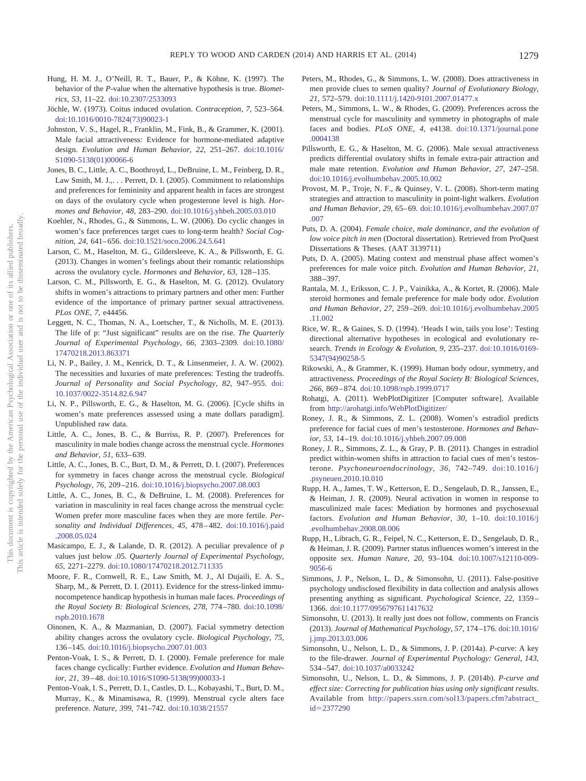- <span id="page-7-20"></span>Hung, H. M. J., O'Neill, R. T., Bauer, P., & Köhne, K. (1997). The behavior of the *P*-value when the alternative hypothesis is true. *Biometrics, 53,* 11–22. [doi:10.2307/2533093](http://dx.doi.org/10.2307/2533093)
- <span id="page-7-19"></span>Jöchle, W. (1973). Coitus induced ovulation. *Contraception, 7,* 523–564. [doi:10.1016/0010-7824\(73\)90023-1](http://dx.doi.org/10.1016/0010-7824%2873%2990023-1)
- <span id="page-7-3"></span>Johnston, V. S., Hagel, R., Franklin, M., Fink, B., & Grammer, K. (2001). Male facial attractiveness: Evidence for hormone-mediated adaptive design. *Evolution and Human Behavior, 22,* 251–267. [doi:10.1016/](http://dx.doi.org/10.1016/S1090-5138%2801%2900066-6) [S1090-5138\(01\)00066-6](http://dx.doi.org/10.1016/S1090-5138%2801%2900066-6)
- <span id="page-7-5"></span>Jones, B. C., Little, A. C., Boothroyd, L., DeBruine, L. M., Feinberg, D. R., Law Smith, M. J.,.. . Perrett, D. I. (2005). Commitment to relationships and preferences for femininity and apparent health in faces are strongest on days of the ovulatory cycle when progesterone level is high. *Hormones and Behavior, 48,* 283–290. [doi:10.1016/j.yhbeh.2005.03.010](http://dx.doi.org/10.1016/j.yhbeh.2005.03.010)
- <span id="page-7-6"></span>Koehler, N., Rhodes, G., & Simmons, L. W. (2006). Do cyclic changes in women's face preferences target cues to long-term health? *Social Cognition, 24,* 641– 656. [doi:10.1521/soco.2006.24.5.641](http://dx.doi.org/10.1521/soco.2006.24.5.641)
- Larson, C. M., Haselton, M. G., Gildersleeve, K. A., & Pillsworth, E. G. (2013). Changes in women's feelings about their romantic relationships across the ovulatory cycle. *Hormones and Behavior, 63,* 128 –135.
- Larson, C. M., Pillsworth, E. G., & Haselton, M. G. (2012). Ovulatory shifts in women's attractions to primary partners and other men: Further evidence of the importance of primary partner sexual attractiveness. *PLos ONE, 7,* e44456.
- <span id="page-7-22"></span>Leggett, N. C., Thomas, N. A., Loetscher, T., & Nicholls, M. E. (2013). The life of p: "Just significant" results are on the rise. *The Quarterly Journal of Experimental Psychology, 66,* 2303–2309. [doi:10.1080/](http://dx.doi.org/10.1080/17470218.2013.863371) [17470218.2013.863371](http://dx.doi.org/10.1080/17470218.2013.863371)
- Li, N. P., Bailey, J. M., Kenrick, D. T., & Linsenmeier, J. A. W. (2002). The necessities and luxuries of mate preferences: Testing the tradeoffs. *Journal of Personality and Social Psychology, 82,* 947–955. [doi:](http://dx.doi.org/10.1037/0022-3514.82.6.947) [10.1037/0022-3514.82.6.947](http://dx.doi.org/10.1037/0022-3514.82.6.947)
- Li, N. P., Pillsworth, E. G., & Haselton, M. G. (2006). [Cycle shifts in women's mate preferences assessed using a mate dollars paradigm]. Unpublished raw data.
- Little, A. C., Jones, B. C., & Burriss, R. P. (2007). Preferences for masculinity in male bodies change across the menstrual cycle. *Hormones and Behavior, 51,* 633– 639.
- <span id="page-7-7"></span>Little, A. C., Jones, B. C., Burt, D. M., & Perrett, D. I. (2007). Preferences for symmetry in faces change across the menstrual cycle. *Biological Psychology, 76,* 209 –216. [doi:10.1016/j.biopsycho.2007.08.003](http://dx.doi.org/10.1016/j.biopsycho.2007.08.003)
- <span id="page-7-8"></span>Little, A. C., Jones, B. C., & DeBruine, L. M. (2008). Preferences for variation in masculinity in real faces change across the menstrual cycle: Women prefer more masculine faces when they are more fertile. *Personality and Individual Differences, 45,* 478 – 482. [doi:10.1016/j.paid](http://dx.doi.org/10.1016/j.paid.2008.05.024) [.2008.05.024](http://dx.doi.org/10.1016/j.paid.2008.05.024)
- <span id="page-7-21"></span>Masicampo, E. J., & Lalande, D. R. (2012). A peculiar prevalence of *p* values just below .05. *Quarterly Journal of Experimental Psychology, 65,* 2271–2279. [doi:10.1080/17470218.2012.711335](http://dx.doi.org/10.1080/17470218.2012.711335)
- <span id="page-7-9"></span>Moore, F. R., Cornwell, R. E., Law Smith, M. J., Al Dujaili, E. A. S., Sharp, M., & Perrett, D. I. (2011). Evidence for the stress-linked immunocompetence handicap hypothesis in human male faces. *Proceedings of the Royal Society B: Biological Sciences, 278,* 774 –780. [doi:10.1098/](http://dx.doi.org/10.1098/rspb.2010.1678) [rspb.2010.1678](http://dx.doi.org/10.1098/rspb.2010.1678)
- <span id="page-7-10"></span>Oinonen, K. A., & Mazmanian, D. (2007). Facial symmetry detection ability changes across the ovulatory cycle. *Biological Psychology, 75,* 136 –145. [doi:10.1016/j.biopsycho.2007.01.003](http://dx.doi.org/10.1016/j.biopsycho.2007.01.003)
- <span id="page-7-4"></span>Penton-Voak, I. S., & Perrett, D. I. (2000). Female preference for male faces change cyclically: Further evidence. *Evolution and Human Behavior, 21,* 39 – 48. [doi:10.1016/S1090-5138\(99\)00033-1](http://dx.doi.org/10.1016/S1090-5138%2899%2900033-1)
- <span id="page-7-2"></span>Penton-Voak, I. S., Perrett, D. I., Castles, D. L., Kobayashi, T., Burt, D. M., Murray, K., & Minamisawa, R. (1999). Menstrual cycle alters face preference. *Nature, 399,* 741–742. [doi:10.1038/21557](http://dx.doi.org/10.1038/21557)
- Peters, M., Rhodes, G., & Simmons, L. W. (2008). Does attractiveness in men provide clues to semen quality? *Journal of Evolutionary Biology, 21,* 572–579. [doi:10.1111/j.1420-9101.2007.01477.x](http://dx.doi.org/10.1111/j.1420-9101.2007.01477.x)
- Peters, M., Simmons, L. W., & Rhodes, G. (2009). Preferences across the menstrual cycle for masculinity and symmetry in photographs of male faces and bodies. *PLoS ONE, 4,* e4138. [doi:10.1371/journal.pone](http://dx.doi.org/10.1371/journal.pone.0004138) [.0004138](http://dx.doi.org/10.1371/journal.pone.0004138)
- <span id="page-7-23"></span>Pillsworth, E. G., & Haselton, M. G. (2006). Male sexual attractiveness predicts differential ovulatory shifts in female extra-pair attraction and male mate retention. *Evolution and Human Behavior, 27,* 247–258. [doi:10.1016/j.evolhumbehav.2005.10.002](http://dx.doi.org/10.1016/j.evolhumbehav.2005.10.002)
- <span id="page-7-11"></span>Provost, M. P., Troje, N. F., & Quinsey, V. L. (2008). Short-term mating strategies and attraction to masculinity in point-light walkers. *Evolution and Human Behavior, 29,* 65– 69. [doi:10.1016/j.evolhumbehav.2007.07](http://dx.doi.org/10.1016/j.evolhumbehav.2007.07.007) [.007](http://dx.doi.org/10.1016/j.evolhumbehav.2007.07.007)
- Puts, D. A. (2004). *Female choice, male dominance, and the evolution of low voice pitch in men* (Doctoral dissertation). Retrieved from ProQuest Dissertations & Theses. (AAT 3139711)
- Puts, D. A. (2005). Mating context and menstrual phase affect women's preferences for male voice pitch. *Evolution and Human Behavior, 21,* 388 –397.
- <span id="page-7-12"></span>Rantala, M. J., Eriksson, C. J. P., Vainikka, A., & Kortet, R. (2006). Male steroid hormones and female preference for male body odor. *Evolution and Human Behavior, 27,* 259 –269. [doi:10.1016/j.evolhumbehav.2005](http://dx.doi.org/10.1016/j.evolhumbehav.2005.11.002) [.11.002](http://dx.doi.org/10.1016/j.evolhumbehav.2005.11.002)
- Rice, W. R., & Gaines, S. D. (1994). 'Heads I win, tails you lose': Testing directional alternative hypotheses in ecological and evolutionary research. *Trends in Ecology & Evolution, 9,* 235–237. [doi:10.1016/0169-](http://dx.doi.org/10.1016/0169-5347%2894%2990258-5) [5347\(94\)90258-5](http://dx.doi.org/10.1016/0169-5347%2894%2990258-5)
- <span id="page-7-1"></span>Rikowski, A., & Grammer, K. (1999). Human body odour, symmetry, and attractiveness. *Proceedings of the Royal Society B: Biological Sciences, 266,* 869 – 874. [doi:10.1098/rspb.1999.0717](http://dx.doi.org/10.1098/rspb.1999.0717)
- <span id="page-7-17"></span>Rohatgi, A. (2011). WebPlotDigitizer [Computer software]. Available from <http://arohatgi.info/WebPlotDigitizer/>
- <span id="page-7-13"></span>Roney, J. R., & Simmons, Z. L. (2008). Women's estradiol predicts preference for facial cues of men's testosterone. *Hormones and Behavior, 53,* 14 –19. [doi:10.1016/j.yhbeh.2007.09.008](http://dx.doi.org/10.1016/j.yhbeh.2007.09.008)
- <span id="page-7-14"></span>Roney, J. R., Simmons, Z. L., & Gray, P. B. (2011). Changes in estradiol predict within-women shifts in attraction to facial cues of men's testosterone. *Psychoneuroendocrinology, 36,* 742–749. [doi:10.1016/j](http://dx.doi.org/10.1016/j.psyneuen.2010.10.010) [.psyneuen.2010.10.010](http://dx.doi.org/10.1016/j.psyneuen.2010.10.010)
- <span id="page-7-15"></span>Rupp, H. A., James, T. W., Ketterson, E. D., Sengelaub, D. R., Janssen, E., & Heiman, J. R. (2009). Neural activation in women in response to masculinized male faces: Mediation by hormones and psychosexual factors. *Evolution and Human Behavior, 30,* 1–10. [doi:10.1016/j](http://dx.doi.org/10.1016/j.evolhumbehav.2008.08.006) [.evolhumbehav.2008.08.006](http://dx.doi.org/10.1016/j.evolhumbehav.2008.08.006)
- <span id="page-7-16"></span>Rupp, H., Librach, G. R., Feipel, N. C., Ketterson, E. D., Sengelaub, D. R., & Heiman, J. R. (2009). Partner status influences women's interest in the opposite sex. *Human Nature, 20,* 93–104. [doi:10.1007/s12110-009-](http://dx.doi.org/10.1007/s12110-009-9056-6) [9056-6](http://dx.doi.org/10.1007/s12110-009-9056-6)
- <span id="page-7-25"></span>Simmons, J. P., Nelson, L. D., & Simonsohn, U. (2011). False-positive psychology undisclosed flexibility in data collection and analysis allows presenting anything as significant. *Psychological Science, 22,* 1359 – 1366. [doi:10.1177/0956797611417632](http://dx.doi.org/10.1177/0956797611417632)
- <span id="page-7-18"></span>Simonsohn, U. (2013). It really just does not follow, comments on Francis (2013). *Journal of Mathematical Psychology, 57,* 174 –176. [doi:10.1016/](http://dx.doi.org/10.1016/j.jmp.2013.03.006) [j.jmp.2013.03.006](http://dx.doi.org/10.1016/j.jmp.2013.03.006)
- <span id="page-7-0"></span>Simonsohn, U., Nelson, L. D., & Simmons, J. P. (2014a). *P*-curve: A key to the file-drawer. *Journal of Experimental Psychology: General, 143,* 534 –547. [doi:10.1037/a0033242](http://dx.doi.org/10.1037/a0033242)
- <span id="page-7-24"></span>Simonsohn, U., Nelson, L. D., & Simmons, J. P. (2014b). *P-curve and effect size: Correcting for publication bias using only significant results*. Available from [http://papers.ssrn.com/sol13/papers.cfm?abstract\\_](http://papers.ssrn.com/sol13/papers.cfm?abstract_id=2377290) id-[2377290](http://papers.ssrn.com/sol13/papers.cfm?abstract_id=2377290)